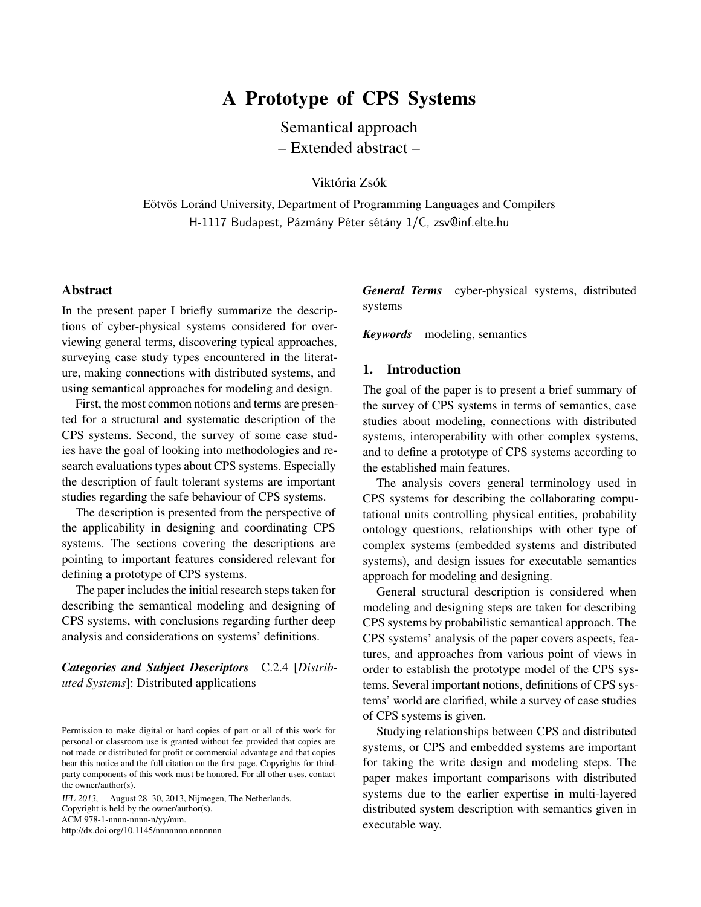# A Prototype of CPS Systems

Semantical approach – Extended abstract –

Viktória Zsók

Eötvös Loránd University, Department of Programming Languages and Compilers H-1117 Budapest, Pázmány Péter sétány 1/C, zsv@inf.elte.hu

#### Abstract

In the present paper I briefly summarize the descriptions of cyber-physical systems considered for overviewing general terms, discovering typical approaches, surveying case study types encountered in the literature, making connections with distributed systems, and using semantical approaches for modeling and design.

First, the most common notions and terms are presented for a structural and systematic description of the CPS systems. Second, the survey of some case studies have the goal of looking into methodologies and research evaluations types about CPS systems. Especially the description of fault tolerant systems are important studies regarding the safe behaviour of CPS systems.

The description is presented from the perspective of the applicability in designing and coordinating CPS systems. The sections covering the descriptions are pointing to important features considered relevant for defining a prototype of CPS systems.

The paper includes the initial research steps taken for describing the semantical modeling and designing of CPS systems, with conclusions regarding further deep analysis and considerations on systems' definitions.

*Categories and Subject Descriptors* C.2.4 [*Distributed Systems*]: Distributed applications

IFL <sup>2013</sup>, August 28–30, 2013, Nijmegen, The Netherlands. Copyright is held by the owner/author(s). ACM 978-1-nnnn-nnnn-n/yy/mm. http://dx.doi.org/10.1145/nnnnnnn.nnnnnnn

*General Terms* cyber-physical systems, distributed systems

*Keywords* modeling, semantics

#### 1. Introduction

The goal of the paper is to present a brief summary of the survey of CPS systems in terms of semantics, case studies about modeling, connections with distributed systems, interoperability with other complex systems, and to define a prototype of CPS systems according to the established main features.

The analysis covers general terminology used in CPS systems for describing the collaborating computational units controlling physical entities, probability ontology questions, relationships with other type of complex systems (embedded systems and distributed systems), and design issues for executable semantics approach for modeling and designing.

General structural description is considered when modeling and designing steps are taken for describing CPS systems by probabilistic semantical approach. The CPS systems' analysis of the paper covers aspects, features, and approaches from various point of views in order to establish the prototype model of the CPS systems. Several important notions, definitions of CPS systems' world are clarified, while a survey of case studies of CPS systems is given.

Studying relationships between CPS and distributed systems, or CPS and embedded systems are important for taking the write design and modeling steps. The paper makes important comparisons with distributed systems due to the earlier expertise in multi-layered distributed system description with semantics given in executable way.

Permission to make digital or hard copies of part or all of this work for personal or classroom use is granted without fee provided that copies are not made or distributed for profit or commercial advantage and that copies bear this notice and the full citation on the first page. Copyrights for thirdparty components of this work must be honored. For all other uses, contact the owner/author(s).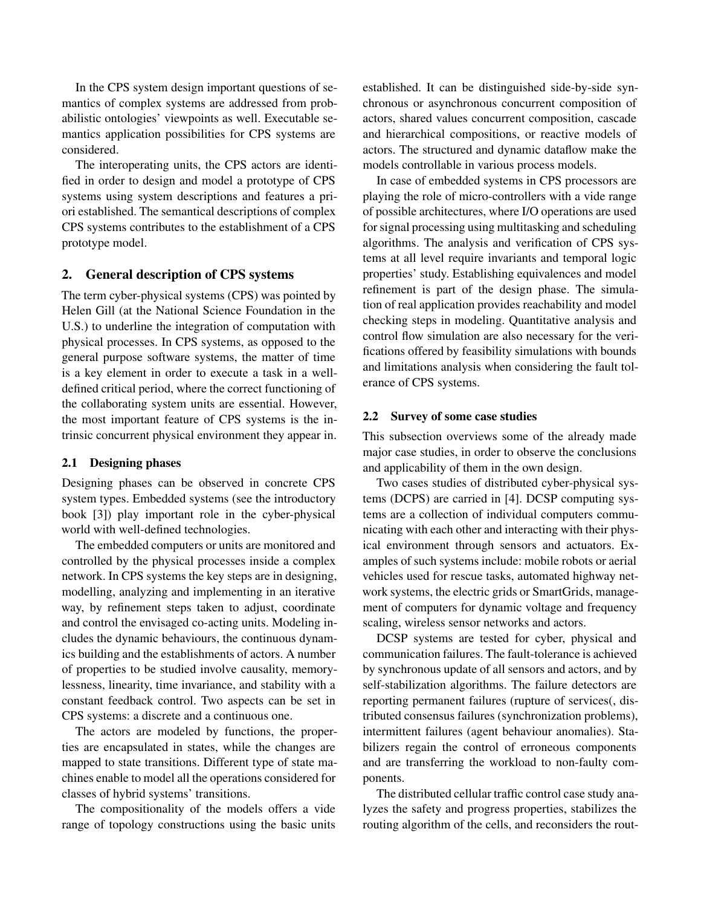In the CPS system design important questions of semantics of complex systems are addressed from probabilistic ontologies' viewpoints as well. Executable semantics application possibilities for CPS systems are considered.

The interoperating units, the CPS actors are identified in order to design and model a prototype of CPS systems using system descriptions and features a priori established. The semantical descriptions of complex CPS systems contributes to the establishment of a CPS prototype model.

# 2. General description of CPS systems

The term cyber-physical systems (CPS) was pointed by Helen Gill (at the National Science Foundation in the U.S.) to underline the integration of computation with physical processes. In CPS systems, as opposed to the general purpose software systems, the matter of time is a key element in order to execute a task in a welldefined critical period, where the correct functioning of the collaborating system units are essential. However, the most important feature of CPS systems is the intrinsic concurrent physical environment they appear in.

#### 2.1 Designing phases

Designing phases can be observed in concrete CPS system types. Embedded systems (see the introductory book [3]) play important role in the cyber-physical world with well-defined technologies.

The embedded computers or units are monitored and controlled by the physical processes inside a complex network. In CPS systems the key steps are in designing, modelling, analyzing and implementing in an iterative way, by refinement steps taken to adjust, coordinate and control the envisaged co-acting units. Modeling includes the dynamic behaviours, the continuous dynamics building and the establishments of actors. A number of properties to be studied involve causality, memorylessness, linearity, time invariance, and stability with a constant feedback control. Two aspects can be set in CPS systems: a discrete and a continuous one.

The actors are modeled by functions, the properties are encapsulated in states, while the changes are mapped to state transitions. Different type of state machines enable to model all the operations considered for classes of hybrid systems' transitions.

The compositionality of the models offers a vide range of topology constructions using the basic units

established. It can be distinguished side-by-side synchronous or asynchronous concurrent composition of actors, shared values concurrent composition, cascade and hierarchical compositions, or reactive models of actors. The structured and dynamic dataflow make the models controllable in various process models.

In case of embedded systems in CPS processors are playing the role of micro-controllers with a vide range of possible architectures, where I/O operations are used for signal processing using multitasking and scheduling algorithms. The analysis and verification of CPS systems at all level require invariants and temporal logic properties' study. Establishing equivalences and model refinement is part of the design phase. The simulation of real application provides reachability and model checking steps in modeling. Quantitative analysis and control flow simulation are also necessary for the verifications offered by feasibility simulations with bounds and limitations analysis when considering the fault tolerance of CPS systems.

## 2.2 Survey of some case studies

This subsection overviews some of the already made major case studies, in order to observe the conclusions and applicability of them in the own design.

Two cases studies of distributed cyber-physical systems (DCPS) are carried in [4]. DCSP computing systems are a collection of individual computers communicating with each other and interacting with their physical environment through sensors and actuators. Examples of such systems include: mobile robots or aerial vehicles used for rescue tasks, automated highway network systems, the electric grids or SmartGrids, management of computers for dynamic voltage and frequency scaling, wireless sensor networks and actors.

DCSP systems are tested for cyber, physical and communication failures. The fault-tolerance is achieved by synchronous update of all sensors and actors, and by self-stabilization algorithms. The failure detectors are reporting permanent failures (rupture of services(, distributed consensus failures (synchronization problems), intermittent failures (agent behaviour anomalies). Stabilizers regain the control of erroneous components and are transferring the workload to non-faulty components.

The distributed cellular traffic control case study analyzes the safety and progress properties, stabilizes the routing algorithm of the cells, and reconsiders the rout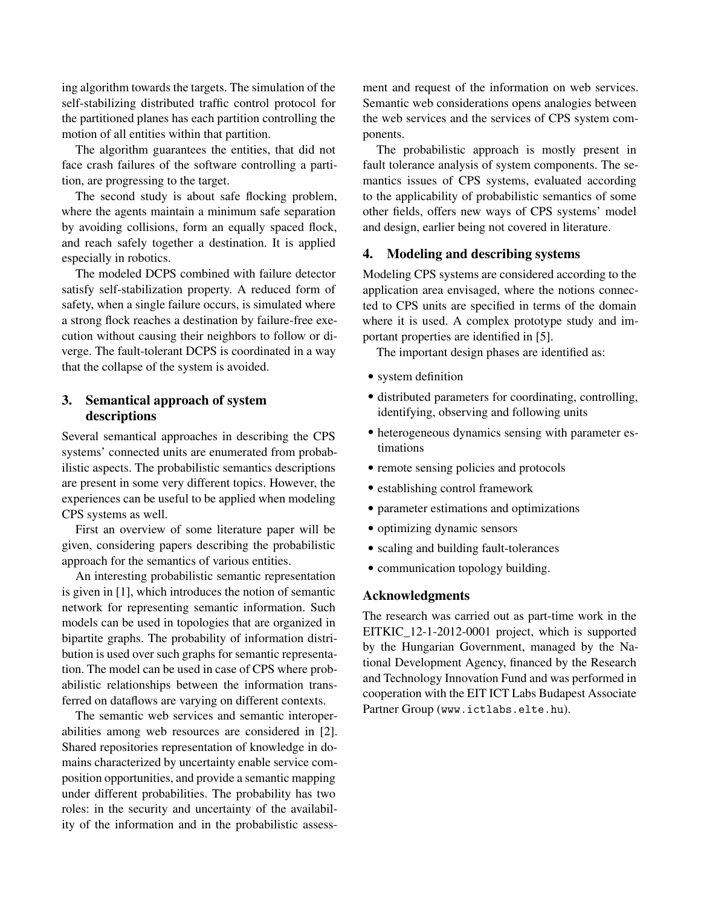ing algorithm towards the targets. The simulation of the self-stabilizing distributed traffic control protocol for the partitioned planes has each partition controlling the motion of all entities within that partition.

The algorithm guarantees the entities, that did not face crash failures of the software controlling a partition, are progressing to the target.

The second study is about safe flocking problem, where the agents maintain a minimum safe separation by avoiding collisions, form an equally spaced flock, and reach safely together a destination. It is applied especially in robotics.

The modeled DCPS combined with failure detector satisfy self-stabilization property. A reduced form of safety, when a single failure occurs, is simulated where a strong flock reaches a destination by failure-free execution without causing their neighbors to follow or diverge. The fault-tolerant DCPS is coordinated in a way that the collapse of the system is avoided.

# 3. Semantical approach of system descriptions

Several semantical approaches in describing the CPS systems' connected units are enumerated from probabilistic aspects. The probabilistic semantics descriptions are present in some very different topics. However, the experiences can be useful to be applied when modeling CPS systems as well.

First an overview of some literature paper will be given, considering papers describing the probabilistic approach for the semantics of various entities.

An interesting probabilistic semantic representation is given in [1], which introduces the notion of semantic network for representing semantic information. Such models can be used in topologies that are organized in bipartite graphs. The probability of information distribution is used over such graphs for semantic representation. The model can be used in case of CPS where probabilistic relationships between the information transferred on dataflows are varying on different contexts.

The semantic web services and semantic interoperabilities among web resources are considered in [2]. Shared repositories representation of knowledge in domains characterized by uncertainty enable service composition opportunities, and provide a semantic mapping under different probabilities. The probability has two roles: in the security and uncertainty of the availability of the information and in the probabilistic assess-

ment and request of the information on web services. Semantic web considerations opens analogies between the web services and the services of CPS system components.

The probabilistic approach is mostly present in fault tolerance analysis of system components. The semantics issues of CPS systems, evaluated according to the applicability of probabilistic semantics of some other fields, offers new ways of CPS systems' model and design, earlier being not covered in literature.

## 4. Modeling and describing systems

Modeling CPS systems are considered according to the application area envisaged, where the notions connected to CPS units are specified in terms of the domain where it is used. A complex prototype study and important properties are identified in [5].

The important design phases are identified as:

- *•* system definition
- *•* distributed parameters for coordinating, controlling, identifying, observing and following units
- *•* heterogeneous dynamics sensing with parameter estimations
- remote sensing policies and protocols
- *•* establishing control framework
- *•* parameter estimations and optimizations
- *•* optimizing dynamic sensors
- scaling and building fault-tolerances
- *•* communication topology building.

### Acknowledgments

The research was carried out as part-time work in the EITKIC 12-1-2012-0001 project, which is supported by the Hungarian Government, managed by the National Development Agency, financed by the Research and Technology Innovation Fund and was performed in cooperation with the EIT ICT Labs Budapest Associate Partner Group (www.ictlabs.elte.hu).